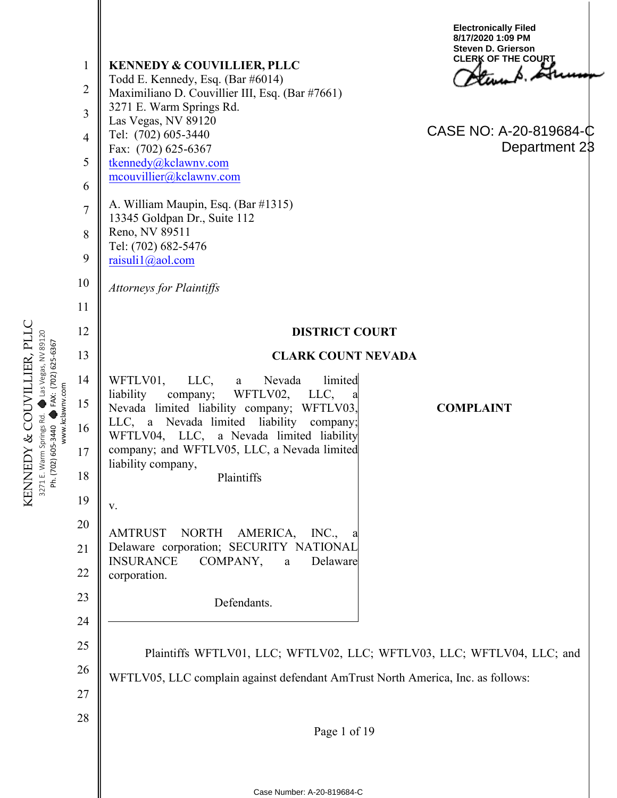|                 | $\mathbf{1}$<br>$\overline{2}$<br>3<br>$\overline{4}$<br>5<br>6<br>$\overline{7}$<br>8<br>9<br>10<br>11 | <b>KENNEDY &amp; COUVILLIER, PLLC</b><br>Todd E. Kennedy, Esq. (Bar #6014)<br>Maximiliano D. Couvillier III, Esq. (Bar #7661)<br>3271 E. Warm Springs Rd.<br>Las Vegas, NV 89120<br>Tel: (702) 605-3440<br>Fax: (702) 625-6367<br>tkennedy@kclawnv.com<br>mcouvillier@kclawnv.com<br>A. William Maupin, Esq. (Bar #1315)<br>13345 Goldpan Dr., Suite 112<br>Reno, NV 89511<br>Tel: (702) 682-5476<br>raisuli1@aol.com<br><b>Attorneys for Plaintiffs</b> | <b>Electronically Filed</b><br>8/17/2020 1:09 PM<br><b>Steven D. Grierson</b><br><b>CLERK OF THE COURT</b><br>CASE NO: A-20-819684-C<br>Department 23 |  |
|-----------------|---------------------------------------------------------------------------------------------------------|----------------------------------------------------------------------------------------------------------------------------------------------------------------------------------------------------------------------------------------------------------------------------------------------------------------------------------------------------------------------------------------------------------------------------------------------------------|-------------------------------------------------------------------------------------------------------------------------------------------------------|--|
|                 | 12                                                                                                      | <b>DISTRICT COURT</b>                                                                                                                                                                                                                                                                                                                                                                                                                                    |                                                                                                                                                       |  |
|                 | 13                                                                                                      | <b>CLARK COUNT NEVADA</b>                                                                                                                                                                                                                                                                                                                                                                                                                                |                                                                                                                                                       |  |
| www.kclawnv.com | 14<br>15<br>16<br>17<br>18                                                                              | WFTLV01,<br>limited<br>LLC,<br>Nevada<br>a a<br>liability<br>WFTLV02,<br>company;<br>LLC,<br>Nevada limited liability company; WFTLV03,<br>LLC, a Nevada limited liability company;<br>WFTLV04, LLC, a Nevada limited liability<br>company; and WFTLV05, LLC, a Nevada limited<br>liability company,<br>Plaintiffs                                                                                                                                       | <b>COMPLAINT</b>                                                                                                                                      |  |
|                 | 19                                                                                                      | V.                                                                                                                                                                                                                                                                                                                                                                                                                                                       |                                                                                                                                                       |  |
|                 | 20<br>21<br>22<br>23                                                                                    | AMTRUST<br>NORTH<br>AMERICA,<br>INC.,<br>Delaware corporation; SECURITY NATIONAL<br><b>INSURANCE</b><br>COMPANY,<br>$\mathbf{a}$<br>Delaware<br>corporation.<br>Defendants.                                                                                                                                                                                                                                                                              |                                                                                                                                                       |  |
|                 | 24                                                                                                      |                                                                                                                                                                                                                                                                                                                                                                                                                                                          |                                                                                                                                                       |  |
|                 | 25                                                                                                      | Plaintiffs WFTLV01, LLC; WFTLV02, LLC; WFTLV03, LLC; WFTLV04, LLC; and                                                                                                                                                                                                                                                                                                                                                                                   |                                                                                                                                                       |  |
|                 | 26                                                                                                      | WFTLV05, LLC complain against defendant AmTrust North America, Inc. as follows:                                                                                                                                                                                                                                                                                                                                                                          |                                                                                                                                                       |  |
|                 | 27                                                                                                      |                                                                                                                                                                                                                                                                                                                                                                                                                                                          |                                                                                                                                                       |  |
|                 | 28                                                                                                      | Page 1 of 19                                                                                                                                                                                                                                                                                                                                                                                                                                             |                                                                                                                                                       |  |
|                 |                                                                                                         |                                                                                                                                                                                                                                                                                                                                                                                                                                                          |                                                                                                                                                       |  |
|                 |                                                                                                         | Case Number: A-20-819684-C                                                                                                                                                                                                                                                                                                                                                                                                                               |                                                                                                                                                       |  |

KENNEDY & COUVILLIER, PLLC<br>3271 E. Warm Springs Rd. ● Las Vegas, NV 89120<br>Ph. (702) 605-3440 ● FAX: (702) 625-6367 KENNEDY & COUVILLIER, PLLC 3271 E. Warm Springs Rd. + Las Vegas, NV 89120 Ph. (702) 605-3440 �� FAX: (702) 625-6367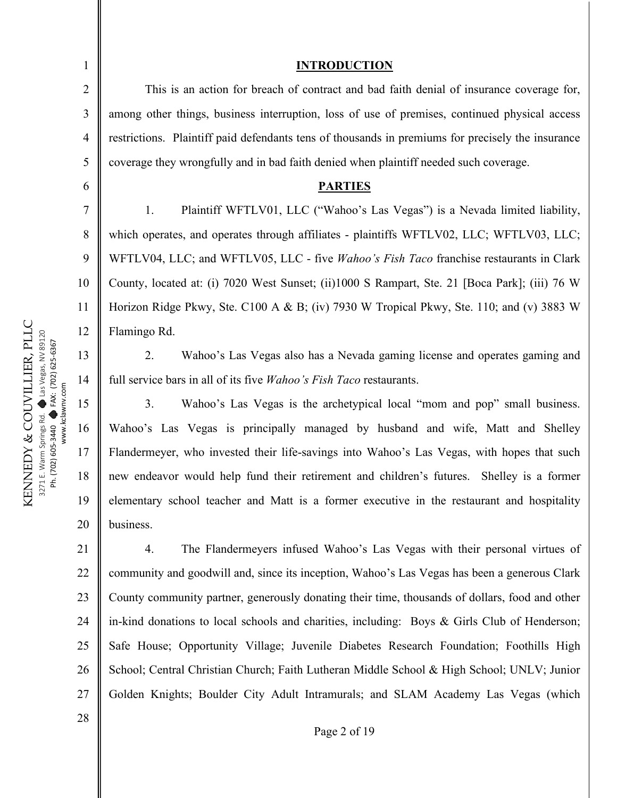1 2 3 4 5 6 7 8 9 10 11 12 13 14 15 16 17 18 19 20 21 22 23 24 25 This is an action for breach of contract and bad faith denial of insurance coverage for, among other things, business interruption, loss of use of premises, continued physical access restrictions. Plaintiff paid defendants tens of thousands in premiums for precisely the insurance coverage they wrongfully and in bad faith denied when plaintiff needed such coverage. **PARTIES** 1. Plaintiff WFTLV01, LLC ("Wahoo's Las Vegas") is a Nevada limited liability, which operates, and operates through affiliates - plaintiffs WFTLV02, LLC; WFTLV03, LLC; WFTLV04, LLC; and WFTLV05, LLC - five *Wahoo's Fish Taco* franchise restaurants in Clark County, located at: (i) 7020 West Sunset; (ii)1000 S Rampart, Ste. 21 [Boca Park]; (iii) 76 W Horizon Ridge Pkwy, Ste. C100 A & B; (iv) 7930 W Tropical Pkwy, Ste. 110; and (v) 3883 W Flamingo Rd. 2. Wahoo's Las Vegas also has a Nevada gaming license and operates gaming and full service bars in all of its five *Wahoo's Fish Taco* restaurants. 3. Wahoo's Las Vegas is the archetypical local "mom and pop" small business. Wahoo's Las Vegas is principally managed by husband and wife, Matt and Shelley Flandermeyer, who invested their life-savings into Wahoo's Las Vegas, with hopes that such new endeavor would help fund their retirement and children's futures. Shelley is a former elementary school teacher and Matt is a former executive in the restaurant and hospitality business. 4. The Flandermeyers infused Wahoo's Las Vegas with their personal virtues of community and goodwill and, since its inception, Wahoo's Las Vegas has been a generous Clark County community partner, generously donating their time, thousands of dollars, food and other in-kind donations to local schools and charities, including: Boys & Girls Club of Henderson; Safe House; Opportunity Village; Juvenile Diabetes Research Foundation; Foothills High

26 27 School; Central Christian Church; Faith Lutheran Middle School & High School; UNLV; Junior Golden Knights; Boulder City Adult Intramurals; and SLAM Academy Las Vegas (which

KENNEDY & COUVILLIER, PLLC KENNEDY & COUVILLIER, PLLC Las Vegas, NV 89120 Las Vegas, NV 89120 FAX: (702) 625-6367 FAX: (702) 625-6367 www.kclawnv.com www.kclawnv.com  $\bullet$  $\bullet$ 3271 E. Warm Springs Rd. Ph. (702) 605-3440 Ph. (702) 605-3440

#### **INTRODUCTION**

Page 2 of 19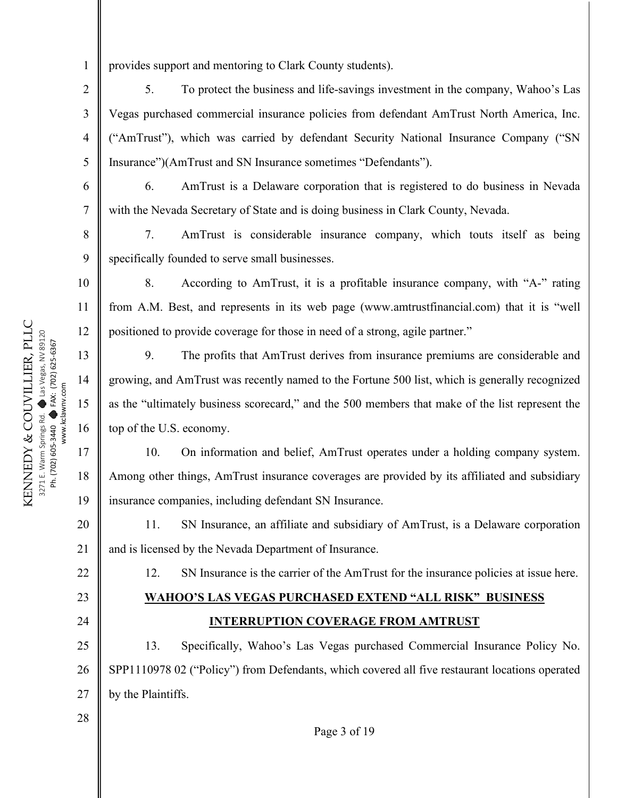1 provides support and mentoring to Clark County students).

5. To protect the business and life-savings investment in the company, Wahoo's Las Vegas purchased commercial insurance policies from defendant AmTrust North America, Inc. ("AmTrust"), which was carried by defendant Security National Insurance Company ("SN Insurance")(AmTrust and SN Insurance sometimes "Defendants").

6. AmTrust is a Delaware corporation that is registered to do business in Nevada with the Nevada Secretary of State and is doing business in Clark County, Nevada.

7. AmTrust is considerable insurance company, which touts itself as being specifically founded to serve small businesses.

8. According to AmTrust, it is a profitable insurance company, with "A-" rating from A.M. Best, and represents in its web page (www.amtrustfinancial.com) that it is "well positioned to provide coverage for those in need of a strong, agile partner."

9. The profits that AmTrust derives from insurance premiums are considerable and growing, and AmTrust was recently named to the Fortune 500 list, which is generally recognized as the "ultimately business scorecard," and the 500 members that make of the list represent the top of the U.S. economy.

10. On information and belief, AmTrust operates under a holding company system. Among other things, AmTrust insurance coverages are provided by its affiliated and subsidiary insurance companies, including defendant SN Insurance.

11. SN Insurance, an affiliate and subsidiary of AmTrust, is a Delaware corporation and is licensed by the Nevada Department of Insurance.

12. SN Insurance is the carrier of the AmTrust for the insurance policies at issue here.

# **WAHOO'S LAS VEGAS PURCHASED EXTEND "ALL RISK" BUSINESS INTERRUPTION COVERAGE FROM AMTRUST**

25 26 27 13. Specifically, Wahoo's Las Vegas purchased Commercial Insurance Policy No. SPP1110978 02 ("Policy") from Defendants, which covered all five restaurant locations operated by the Plaintiffs.

KENNEDY & COUVILLIER, PLLC KENNEDY & COUVILLIER, PLLC Las Vegas, NV 89120 Las Vegas, NV 89120 FAX: (702) 625-6367 FAX: (702) 625-6367 www.kclawnv.com www.kclawnv.com  $\bullet$  $\bullet$ 3271 E. Warm Springs Rd. Ph. (702) 605-3440 Ph. (702) 605-3440

2

3

4

5

6

7

8

9

10

11

12

13

14

15

16

17

18

19

20

21

22

23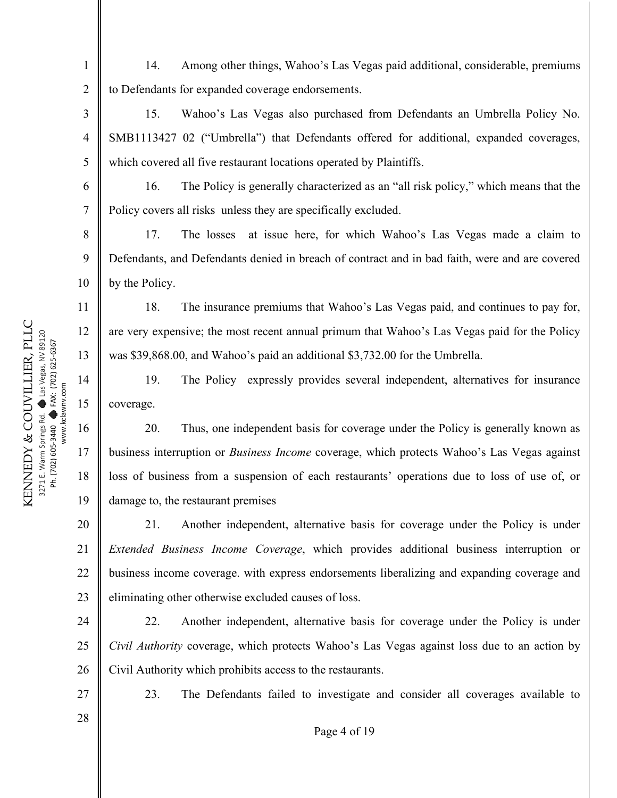14. Among other things, Wahoo's Las Vegas paid additional, considerable, premiums to Defendants for expanded coverage endorsements.

15. Wahoo's Las Vegas also purchased from Defendants an Umbrella Policy No. SMB1113427 02 ("Umbrella") that Defendants offered for additional, expanded coverages, which covered all five restaurant locations operated by Plaintiffs.

16. The Policy is generally characterized as an "all risk policy," which means that the Policy covers all risks unless they are specifically excluded.

17. The losses at issue here, for which Wahoo's Las Vegas made a claim to Defendants, and Defendants denied in breach of contract and in bad faith, were and are covered by the Policy.

18. The insurance premiums that Wahoo's Las Vegas paid, and continues to pay for, are very expensive; the most recent annual primum that Wahoo's Las Vegas paid for the Policy was \$39,868.00, and Wahoo's paid an additional \$3,732.00 for the Umbrella.

19. The Policy expressly provides several independent, alternatives for insurance coverage.

20. Thus, one independent basis for coverage under the Policy is generally known as business interruption or *Business Income* coverage, which protects Wahoo's Las Vegas against loss of business from a suspension of each restaurants' operations due to loss of use of, or damage to, the restaurant premises

20 21 22 23 21. Another independent, alternative basis for coverage under the Policy is under *Extended Business Income Coverage*, which provides additional business interruption or business income coverage. with express endorsements liberalizing and expanding coverage and eliminating other otherwise excluded causes of loss.

24 25 26 22. Another independent, alternative basis for coverage under the Policy is under *Civil Authority* coverage, which protects Wahoo's Las Vegas against loss due to an action by Civil Authority which prohibits access to the restaurants.

23. The Defendants failed to investigate and consider all coverages available to

1

2

3

4

5

6

7

8

9

10

11

12

13

14

15

16

17

18

19

28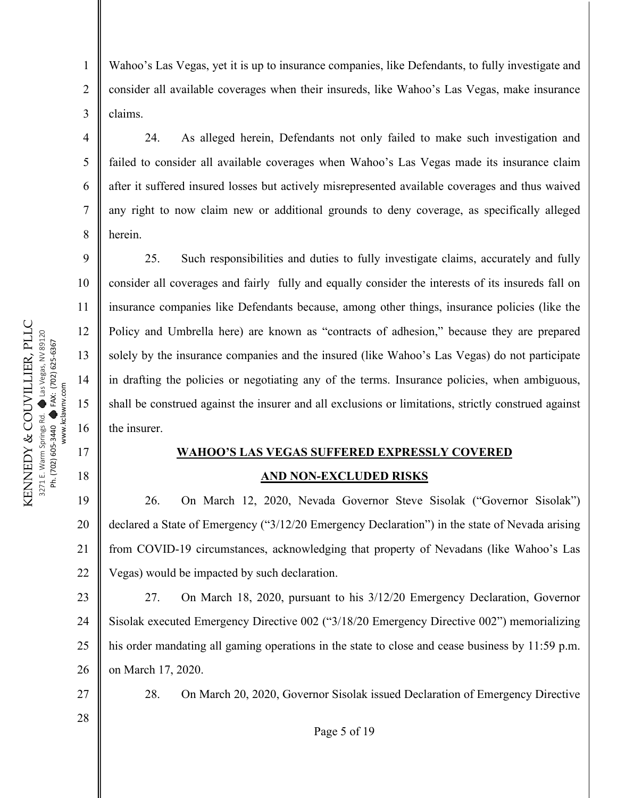2

3

4

5

6

7

8

9

10

11

12

13

14

15

16

17

18

Wahoo's Las Vegas, yet it is up to insurance companies, like Defendants, to fully investigate and consider all available coverages when their insureds, like Wahoo's Las Vegas, make insurance claims.

24. As alleged herein, Defendants not only failed to make such investigation and failed to consider all available coverages when Wahoo's Las Vegas made its insurance claim after it suffered insured losses but actively misrepresented available coverages and thus waived any right to now claim new or additional grounds to deny coverage, as specifically alleged herein.

25. Such responsibilities and duties to fully investigate claims, accurately and fully consider all coverages and fairly fully and equally consider the interests of its insureds fall on insurance companies like Defendants because, among other things, insurance policies (like the Policy and Umbrella here) are known as "contracts of adhesion," because they are prepared solely by the insurance companies and the insured (like Wahoo's Las Vegas) do not participate in drafting the policies or negotiating any of the terms. Insurance policies, when ambiguous, shall be construed against the insurer and all exclusions or limitations, strictly construed against the insurer.

# **WAHOO'S LAS VEGAS SUFFERED EXPRESSLY COVERED AND NON-EXCLUDED RISKS**

19 20 21 22 26. On March 12, 2020, Nevada Governor Steve Sisolak ("Governor Sisolak") declared a State of Emergency ("3/12/20 Emergency Declaration") in the state of Nevada arising from COVID-19 circumstances, acknowledging that property of Nevadans (like Wahoo's Las Vegas) would be impacted by such declaration.

23 24 25 26 27. On March 18, 2020, pursuant to his 3/12/20 Emergency Declaration, Governor Sisolak executed Emergency Directive 002 ("3/18/20 Emergency Directive 002") memorializing his order mandating all gaming operations in the state to close and cease business by 11:59 p.m. on March 17, 2020.

27 28

28. On March 20, 2020, Governor Sisolak issued Declaration of Emergency Directive

Page 5 of 19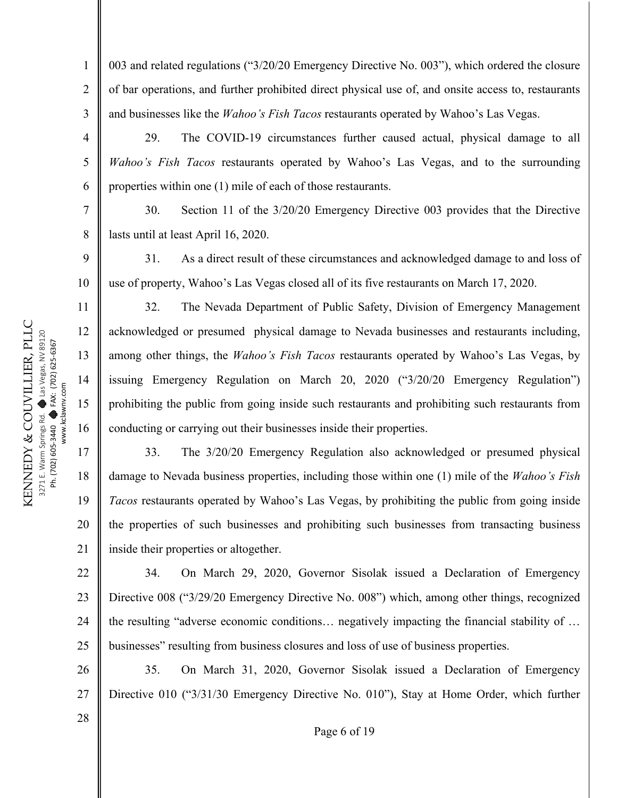5

6

7

8

11

12

13

14

15

16

17

18

19

20

21

28

1 2 3 003 and related regulations ("3/20/20 Emergency Directive No. 003"), which ordered the closure of bar operations, and further prohibited direct physical use of, and onsite access to, restaurants and businesses like the *Wahoo's Fish Tacos* restaurants operated by Wahoo's Las Vegas.

29. The COVID-19 circumstances further caused actual, physical damage to all *Wahoo's Fish Tacos* restaurants operated by Wahoo's Las Vegas, and to the surrounding properties within one (1) mile of each of those restaurants.

30. Section 11 of the 3/20/20 Emergency Directive 003 provides that the Directive lasts until at least April 16, 2020.

9 10 31. As a direct result of these circumstances and acknowledged damage to and loss of use of property, Wahoo's Las Vegas closed all of its five restaurants on March 17, 2020.

32. The Nevada Department of Public Safety, Division of Emergency Management acknowledged or presumed physical damage to Nevada businesses and restaurants including, among other things, the *Wahoo's Fish Tacos* restaurants operated by Wahoo's Las Vegas, by issuing Emergency Regulation on March 20, 2020 ("3/20/20 Emergency Regulation") prohibiting the public from going inside such restaurants and prohibiting such restaurants from conducting or carrying out their businesses inside their properties.

33. The 3/20/20 Emergency Regulation also acknowledged or presumed physical damage to Nevada business properties, including those within one (1) mile of the *Wahoo's Fish Tacos* restaurants operated by Wahoo's Las Vegas, by prohibiting the public from going inside the properties of such businesses and prohibiting such businesses from transacting business inside their properties or altogether.

22 23 24 25 34. On March 29, 2020, Governor Sisolak issued a Declaration of Emergency Directive 008 ("3/29/20 Emergency Directive No. 008") which, among other things, recognized the resulting "adverse economic conditions… negatively impacting the financial stability of … businesses" resulting from business closures and loss of use of business properties.

26 27 35. On March 31, 2020, Governor Sisolak issued a Declaration of Emergency Directive 010 ("3/31/30 Emergency Directive No. 010"), Stay at Home Order, which further

Page 6 of 19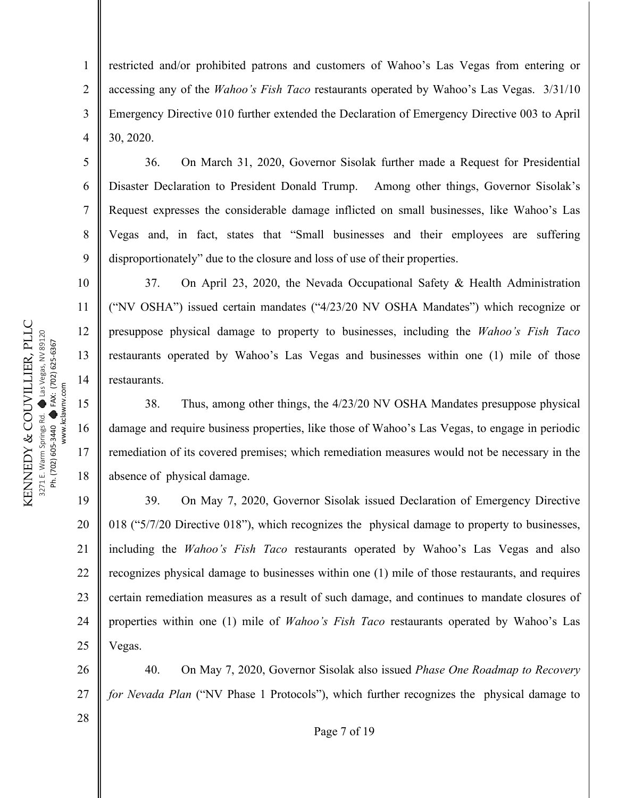2

3

4

5

6

7

8

9

10

11

12

13

14

15

16

17

18

restricted and/or prohibited patrons and customers of Wahoo's Las Vegas from entering or accessing any of the *Wahoo's Fish Taco* restaurants operated by Wahoo's Las Vegas. 3/31/10 Emergency Directive 010 further extended the Declaration of Emergency Directive 003 to April 30, 2020.

36. On March 31, 2020, Governor Sisolak further made a Request for Presidential Disaster Declaration to President Donald Trump. Among other things, Governor Sisolak's Request expresses the considerable damage inflicted on small businesses, like Wahoo's Las Vegas and, in fact, states that "Small businesses and their employees are suffering disproportionately" due to the closure and loss of use of their properties.

37. On April 23, 2020, the Nevada Occupational Safety & Health Administration ("NV OSHA") issued certain mandates ("4/23/20 NV OSHA Mandates") which recognize or presuppose physical damage to property to businesses, including the *Wahoo's Fish Taco*  restaurants operated by Wahoo's Las Vegas and businesses within one (1) mile of those restaurants.

38. Thus, among other things, the 4/23/20 NV OSHA Mandates presuppose physical damage and require business properties, like those of Wahoo's Las Vegas, to engage in periodic remediation of its covered premises; which remediation measures would not be necessary in the absence of physical damage.

19 20 21 22 23 24 25 39. On May 7, 2020, Governor Sisolak issued Declaration of Emergency Directive 018 ("5/7/20 Directive 018"), which recognizes the physical damage to property to businesses, including the *Wahoo's Fish Taco* restaurants operated by Wahoo's Las Vegas and also recognizes physical damage to businesses within one (1) mile of those restaurants, and requires certain remediation measures as a result of such damage, and continues to mandate closures of properties within one (1) mile of *Wahoo's Fish Taco* restaurants operated by Wahoo's Las Vegas.

26 27 40. On May 7, 2020, Governor Sisolak also issued *Phase One Roadmap to Recovery for Nevada Plan* ("NV Phase 1 Protocols"), which further recognizes the physical damage to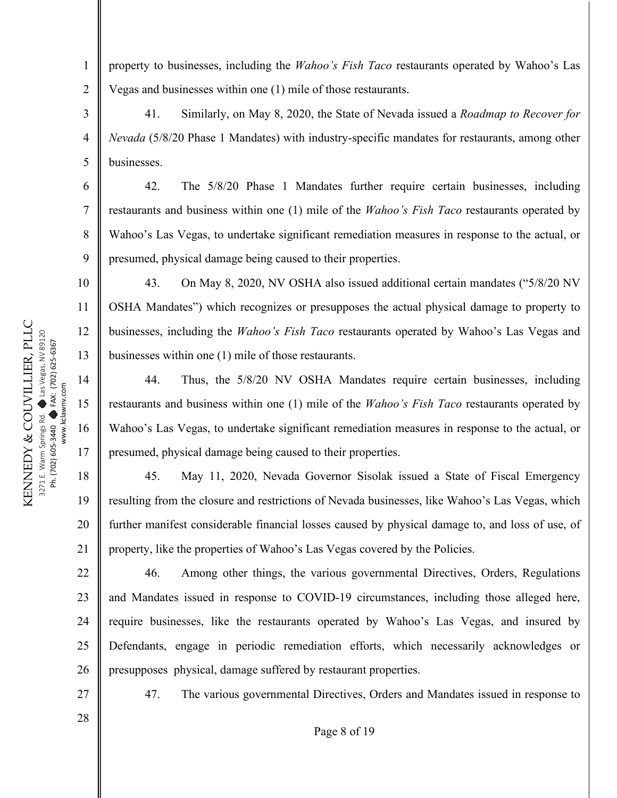property to businesses, including the *Wahoo's Fish Taco* restaurants operated by Wahoo's Las Vegas and businesses within one (1) mile of those restaurants.

41. Similarly, on May 8, 2020, the State of Nevada issued a *Roadmap to Recover for Nevada* (5/8/20 Phase 1 Mandates) with industry-specific mandates for restaurants, among other businesses.

42. The 5/8/20 Phase 1 Mandates further require certain businesses, including restaurants and business within one (1) mile of the *Wahoo's Fish Taco* restaurants operated by Wahoo's Las Vegas, to undertake significant remediation measures in response to the actual, or presumed, physical damage being caused to their properties.

43. On May 8, 2020, NV OSHA also issued additional certain mandates ("5/8/20 NV OSHA Mandates") which recognizes or presupposes the actual physical damage to property to businesses, including the *Wahoo's Fish Taco* restaurants operated by Wahoo's Las Vegas and businesses within one (1) mile of those restaurants.

44. Thus, the 5/8/20 NV OSHA Mandates require certain businesses, including restaurants and business within one (1) mile of the *Wahoo's Fish Taco* restaurants operated by Wahoo's Las Vegas, to undertake significant remediation measures in response to the actual, or presumed, physical damage being caused to their properties.

45. May 11, 2020, Nevada Governor Sisolak issued a State of Fiscal Emergency resulting from the closure and restrictions of Nevada businesses, like Wahoo's Las Vegas, which further manifest considerable financial losses caused by physical damage to, and loss of use, of property, like the properties of Wahoo's Las Vegas covered by the Policies.

46. Among other things, the various governmental Directives, Orders, Regulations and Mandates issued in response to COVID-19 circumstances, including those alleged here, require businesses, like the restaurants operated by Wahoo's Las Vegas, and insured by Defendants, engage in periodic remediation efforts, which necessarily acknowledges or presupposes physical, damage suffered by restaurant properties.

47. The various governmental Directives, Orders and Mandates issued in response to

KENNEDY & COUVILLIER, PLLC KENNEDY & COUVILLIER, PLLC Las Vegas, NV 89120 Las Vegas, NV 89120 FAX: (702) 625-6367 FAX: (702) 625-6367 www.kclawnv.com www.kclawnv.com  $\bullet$  $\bullet$ 3271 E. Warm Springs Rd. Ph. (702) 605-3440 Ph. (702) 605-3440

1

2

3

4

5

6

7

8

9

10

11

12

13

14

15

16

17

18

19

20

21

22

23

24

25

26

27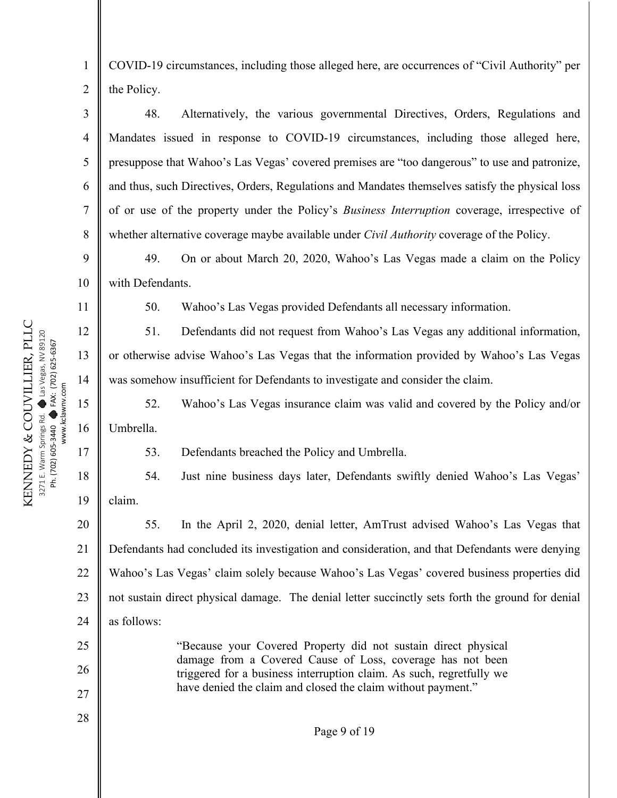4

5

6

7

8

9

10

11

12

13

14

15

16

17

18

19

25

26

27

28

1

COVID-19 circumstances, including those alleged here, are occurrences of "Civil Authority" per the Policy.

48. Alternatively, the various governmental Directives, Orders, Regulations and Mandates issued in response to COVID-19 circumstances, including those alleged here, presuppose that Wahoo's Las Vegas' covered premises are "too dangerous" to use and patronize, and thus, such Directives, Orders, Regulations and Mandates themselves satisfy the physical loss of or use of the property under the Policy's *Business Interruption* coverage, irrespective of whether alternative coverage maybe available under *Civil Authority* coverage of the Policy.

49. On or about March 20, 2020, Wahoo's Las Vegas made a claim on the Policy with Defendants.

50. Wahoo's Las Vegas provided Defendants all necessary information.

51. Defendants did not request from Wahoo's Las Vegas any additional information, or otherwise advise Wahoo's Las Vegas that the information provided by Wahoo's Las Vegas was somehow insufficient for Defendants to investigate and consider the claim.

52. Wahoo's Las Vegas insurance claim was valid and covered by the Policy and/or Umbrella.

53. Defendants breached the Policy and Umbrella.

54. Just nine business days later, Defendants swiftly denied Wahoo's Las Vegas' claim.

20 21 22 23 24 55. In the April 2, 2020, denial letter, AmTrust advised Wahoo's Las Vegas that Defendants had concluded its investigation and consideration, and that Defendants were denying Wahoo's Las Vegas' claim solely because Wahoo's Las Vegas' covered business properties did not sustain direct physical damage. The denial letter succinctly sets forth the ground for denial as follows:

> "Because your Covered Property did not sustain direct physical damage from a Covered Cause of Loss, coverage has not been triggered for a business interruption claim. As such, regretfully we have denied the claim and closed the claim without payment."

> > Page 9 of 19

KENNEDY & COUVILLIER, PLLC KENNEDY & COUVILLIER, PLLC Las Vegas, NV 89120 Las Vegas, NV 89120 FAX: (702) 625-6367 FAX: (702) 625-6367 www.kclawnv.com www.kclawnv.com 271 E. Warm Springs Rd.<br>Ph. (702) 605-3440 3271 E. Warm Springs Rd. Ph. (702) 605-3440 Ph. (702) 605-3440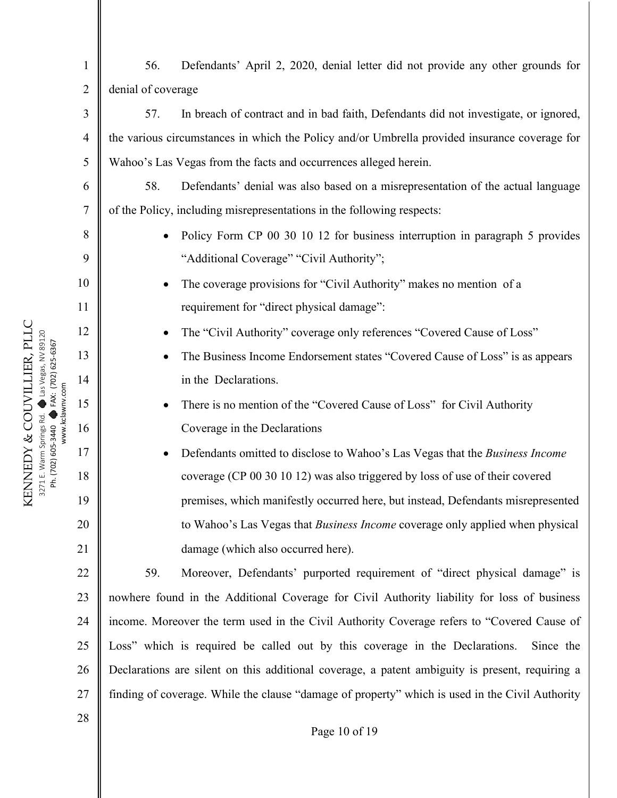| $\mathbf{1}$   | Defendants' April 2, 2020, denial letter did not provide any other grounds for<br>56.           |  |
|----------------|-------------------------------------------------------------------------------------------------|--|
| $\overline{2}$ | denial of coverage                                                                              |  |
| 3              | In breach of contract and in bad faith, Defendants did not investigate, or ignored,<br>57.      |  |
| 4              | the various circumstances in which the Policy and/or Umbrella provided insurance coverage for   |  |
| 5              | Wahoo's Las Vegas from the facts and occurrences alleged herein.                                |  |
| 6              | Defendants' denial was also based on a misrepresentation of the actual language<br>58.          |  |
| $\tau$         | of the Policy, including misrepresentations in the following respects:                          |  |
| 8              | Policy Form CP 00 30 10 12 for business interruption in paragraph 5 provides                    |  |
| 9              | "Additional Coverage" "Civil Authority";                                                        |  |
| 10             | The coverage provisions for "Civil Authority" makes no mention of a<br>$\bullet$                |  |
| 11             | requirement for "direct physical damage":                                                       |  |
| 12             | The "Civil Authority" coverage only references "Covered Cause of Loss"<br>$\bullet$             |  |
| 13             | The Business Income Endorsement states "Covered Cause of Loss" is as appears<br>$\bullet$       |  |
| 14             | in the Declarations.                                                                            |  |
| 15             | There is no mention of the "Covered Cause of Loss" for Civil Authority<br>$\bullet$             |  |
| 16             | Coverage in the Declarations                                                                    |  |
| 17             | Defendants omitted to disclose to Wahoo's Las Vegas that the Business Income                    |  |
| 18             | coverage (CP 00 30 10 12) was also triggered by loss of use of their covered                    |  |
| 19             | premises, which manifestly occurred here, but instead, Defendants misrepresented                |  |
| 20             | to Wahoo's Las Vegas that Business Income coverage only applied when physical                   |  |
| 21             | damage (which also occurred here).                                                              |  |
| 22             | 59.<br>Moreover, Defendants' purported requirement of "direct physical damage" is               |  |
| 23             | nowhere found in the Additional Coverage for Civil Authority liability for loss of business     |  |
| 24             | income. Moreover the term used in the Civil Authority Coverage refers to "Covered Cause of      |  |
| 25             | Loss" which is required be called out by this coverage in the Declarations.<br>Since the        |  |
| 26             | Declarations are silent on this additional coverage, a patent ambiguity is present, requiring a |  |
| 27             | finding of coverage. While the clause "damage of property" which is used in the Civil Authority |  |
| 28             |                                                                                                 |  |
|                | Page 10 of 19                                                                                   |  |

KENNEDY & COUVILLIER, PLLC 3271 E. Warm Springs Rd.  $\bullet$ Las Vegas, NV 89120 Ph. (702) 605-3440  $\bullet$ FAX: (702) 625-6367 www.kclawnv.com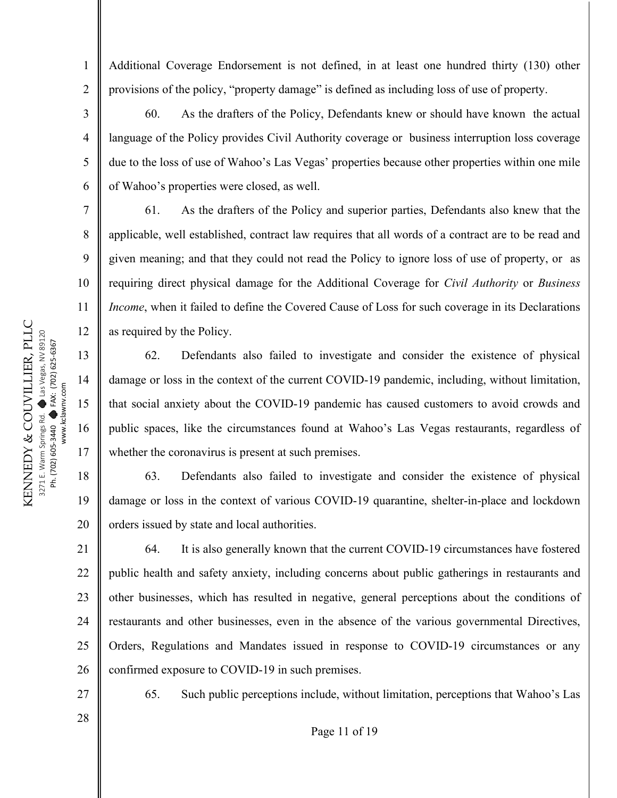Additional Coverage Endorsement is not defined, in at least one hundred thirty (130) other provisions of the policy, "property damage" is defined as including loss of use of property.

60. As the drafters of the Policy, Defendants knew or should have known the actual language of the Policy provides Civil Authority coverage or business interruption loss coverage due to the loss of use of Wahoo's Las Vegas' properties because other properties within one mile of Wahoo's properties were closed, as well.

61. As the drafters of the Policy and superior parties, Defendants also knew that the applicable, well established, contract law requires that all words of a contract are to be read and given meaning; and that they could not read the Policy to ignore loss of use of property, or as requiring direct physical damage for the Additional Coverage for *Civil Authority* or *Business Income*, when it failed to define the Covered Cause of Loss for such coverage in its Declarations as required by the Policy.

62. Defendants also failed to investigate and consider the existence of physical damage or loss in the context of the current COVID-19 pandemic, including, without limitation, that social anxiety about the COVID-19 pandemic has caused customers to avoid crowds and public spaces, like the circumstances found at Wahoo's Las Vegas restaurants, regardless of whether the coronavirus is present at such premises.

18 19 20 63. Defendants also failed to investigate and consider the existence of physical damage or loss in the context of various COVID-19 quarantine, shelter-in-place and lockdown orders issued by state and local authorities.

21 22 23 24 25 26 64. It is also generally known that the current COVID-19 circumstances have fostered public health and safety anxiety, including concerns about public gatherings in restaurants and other businesses, which has resulted in negative, general perceptions about the conditions of restaurants and other businesses, even in the absence of the various governmental Directives, Orders, Regulations and Mandates issued in response to COVID-19 circumstances or any confirmed exposure to COVID-19 in such premises.

27 28 65. Such public perceptions include, without limitation, perceptions that Wahoo's Las

Page 11 of 19

KENNEDY & COUVILLIER, PLLC KENNEDY & COUVILLIER, PLLC Las Vegas, NV 89120 Las Vegas, NV 89120 FAX: (702) 625-6367 FAX: (702) 625-6367 www.kclawnv.com www.kclawnv.com  $\bullet$  $\bullet$ 3271 E. Warm Springs Rd. Ph. (702) 605-3440 Ph. (702) 605-3440

1

2

3

4

5

6

7

8

9

10

11

12

13

14

15

16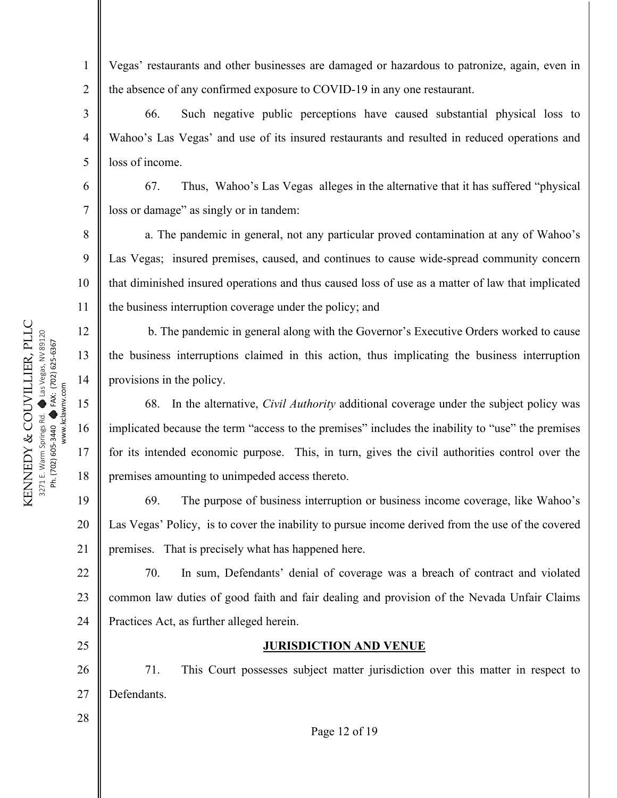2

6

7

25

28

Vegas' restaurants and other businesses are damaged or hazardous to patronize, again, even in the absence of any confirmed exposure to COVID-19 in any one restaurant.

3 4 5 66. Such negative public perceptions have caused substantial physical loss to Wahoo's Las Vegas' and use of its insured restaurants and resulted in reduced operations and loss of income.

67. Thus, Wahoo's Las Vegas alleges in the alternative that it has suffered "physical loss or damage" as singly or in tandem:

8 9 10 11 a. The pandemic in general, not any particular proved contamination at any of Wahoo's Las Vegas; insured premises, caused, and continues to cause wide-spread community concern that diminished insured operations and thus caused loss of use as a matter of law that implicated the business interruption coverage under the policy; and

b. The pandemic in general along with the Governor's Executive Orders worked to cause the business interruptions claimed in this action, thus implicating the business interruption provisions in the policy.

68. In the alternative, *Civil Authority* additional coverage under the subject policy was implicated because the term "access to the premises" includes the inability to "use" the premises for its intended economic purpose. This, in turn, gives the civil authorities control over the premises amounting to unimpeded access thereto.

19 20 21 69. The purpose of business interruption or business income coverage, like Wahoo's Las Vegas' Policy, is to cover the inability to pursue income derived from the use of the covered premises. That is precisely what has happened here.

22 23 24 70. In sum, Defendants' denial of coverage was a breach of contract and violated common law duties of good faith and fair dealing and provision of the Nevada Unfair Claims Practices Act, as further alleged herein.

#### **JURISDICTION AND VENUE**

26 27 71. This Court possesses subject matter jurisdiction over this matter in respect to Defendants.

Page 12 of 19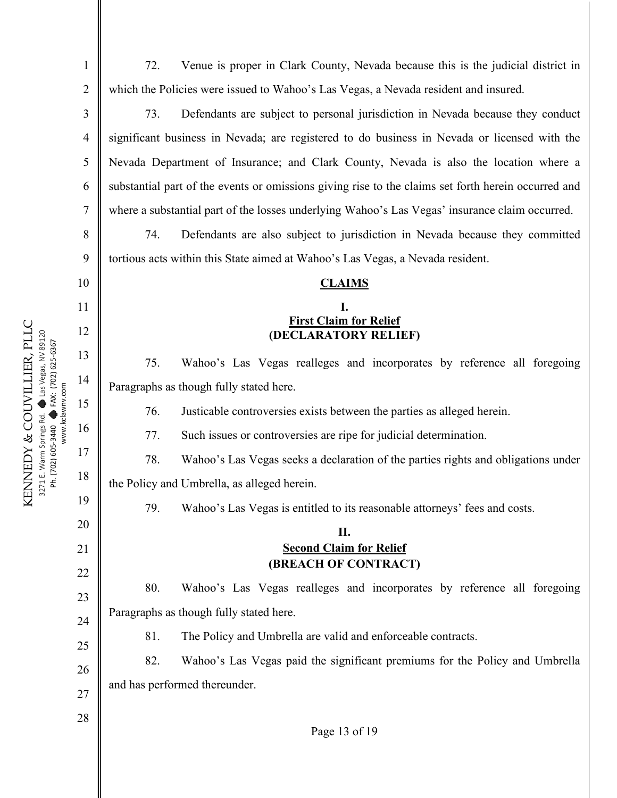2

3

4

5

6

7

8

9

10

11

12

13

14

15

www.kclawnv.com

16

17

18

19

20

21

22

23

24

25

26

27

28

Page 13 of 19 72. Venue is proper in Clark County, Nevada because this is the judicial district in which the Policies were issued to Wahoo's Las Vegas, a Nevada resident and insured. 73. Defendants are subject to personal jurisdiction in Nevada because they conduct significant business in Nevada; are registered to do business in Nevada or licensed with the Nevada Department of Insurance; and Clark County, Nevada is also the location where a substantial part of the events or omissions giving rise to the claims set forth herein occurred and where a substantial part of the losses underlying Wahoo's Las Vegas' insurance claim occurred. 74. Defendants are also subject to jurisdiction in Nevada because they committed tortious acts within this State aimed at Wahoo's Las Vegas, a Nevada resident. **CLAIMS I. First Claim for Relief (DECLARATORY RELIEF)** 75. Wahoo's Las Vegas realleges and incorporates by reference all foregoing Paragraphs as though fully stated here. 76. Justicable controversies exists between the parties as alleged herein. 77. Such issues or controversies are ripe for judicial determination. 78. Wahoo's Las Vegas seeks a declaration of the parties rights and obligations under the Policy and Umbrella, as alleged herein. 79. Wahoo's Las Vegas is entitled to its reasonable attorneys' fees and costs. **II. Second Claim for Relief (BREACH OF CONTRACT)** 80. Wahoo's Las Vegas realleges and incorporates by reference all foregoing Paragraphs as though fully stated here. 81. The Policy and Umbrella are valid and enforceable contracts. 82. Wahoo's Las Vegas paid the significant premiums for the Policy and Umbrella and has performed thereunder.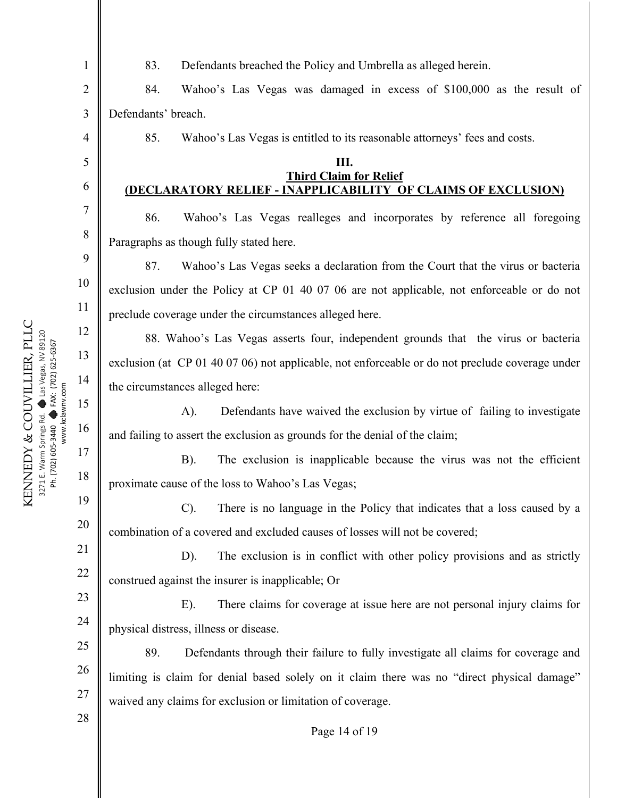2

3

83. Defendants breached the Policy and Umbrella as alleged herein.

84. Wahoo's Las Vegas was damaged in excess of \$100,000 as the result of Defendants' breach.

85. Wahoo's Las Vegas is entitled to its reasonable attorneys' fees and costs.

#### **III. Third Claim for Relief (DECLARATORY RELIEF - INAPPLICABILITY OF CLAIMS OF EXCLUSION)**

86. Wahoo's Las Vegas realleges and incorporates by reference all foregoing Paragraphs as though fully stated here.

87. Wahoo's Las Vegas seeks a declaration from the Court that the virus or bacteria exclusion under the Policy at CP 01 40 07 06 are not applicable, not enforceable or do not preclude coverage under the circumstances alleged here.

88. Wahoo's Las Vegas asserts four, independent grounds that the virus or bacteria exclusion (at CP 01 40 07 06) not applicable, not enforceable or do not preclude coverage under the circumstances alleged here:

A). Defendants have waived the exclusion by virtue of failing to investigate and failing to assert the exclusion as grounds for the denial of the claim;

B). The exclusion is inapplicable because the virus was not the efficient proximate cause of the loss to Wahoo's Las Vegas;

C). There is no language in the Policy that indicates that a loss caused by a combination of a covered and excluded causes of losses will not be covered;

D). The exclusion is in conflict with other policy provisions and as strictly construed against the insurer is inapplicable; Or

23 24 E). There claims for coverage at issue here are not personal injury claims for physical distress, illness or disease.

25 26 27 89. Defendants through their failure to fully investigate all claims for coverage and limiting is claim for denial based solely on it claim there was no "direct physical damage" waived any claims for exclusion or limitation of coverage.

28

19

20

21

22

Page 14 of 19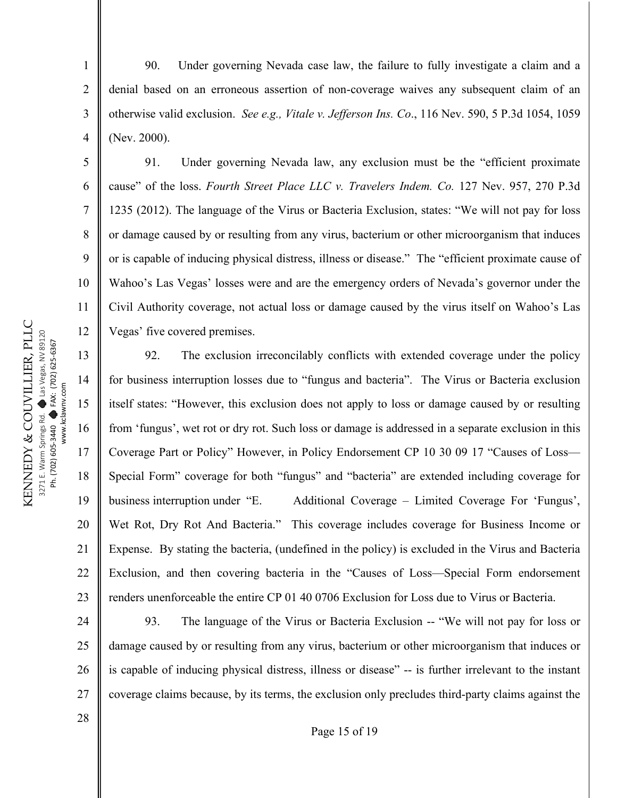KENNEDY & COUVILLIER, PLLC KENNEDY & COUVILLIER, PLLC Las Vegas, NV 89120 Las Vegas, NV 89120 FAX: (702) 625-6367 FAX: (702) 625-6367 www.kclawnv.com www.kclawnv.com  $\bullet$  $\bullet$ 3271 E. Warm Springs Rd. Ph. (702) 605-3440 Ph. (702) 605-3440

1

2

3

4

5

6

7

8

9

10

11

12

 90. Under governing Nevada case law, the failure to fully investigate a claim and a denial based on an erroneous assertion of non-coverage waives any subsequent claim of an otherwise valid exclusion. *See e.g., Vitale v. Jefferson Ins. Co*., 116 Nev. 590, 5 P.3d 1054, 1059 (Nev. 2000).

91. Under governing Nevada law, any exclusion must be the "efficient proximate cause" of the loss. *Fourth Street Place LLC v. Travelers Indem. Co.* 127 Nev. 957, 270 P.3d 1235 (2012). The language of the Virus or Bacteria Exclusion, states: "We will not pay for loss or damage caused by or resulting from any virus, bacterium or other microorganism that induces or is capable of inducing physical distress, illness or disease." The "efficient proximate cause of Wahoo's Las Vegas' losses were and are the emergency orders of Nevada's governor under the Civil Authority coverage, not actual loss or damage caused by the virus itself on Wahoo's Las Vegas' five covered premises.

13 14 15 16 17 18 19 20 21 22 23 92. The exclusion irreconcilably conflicts with extended coverage under the policy for business interruption losses due to "fungus and bacteria". The Virus or Bacteria exclusion itself states: "However, this exclusion does not apply to loss or damage caused by or resulting from 'fungus', wet rot or dry rot. Such loss or damage is addressed in a separate exclusion in this Coverage Part or Policy" However, in Policy Endorsement CP 10 30 09 17 "Causes of Loss— Special Form" coverage for both "fungus" and "bacteria" are extended including coverage for business interruption under "E. Additional Coverage – Limited Coverage For 'Fungus', Wet Rot, Dry Rot And Bacteria." This coverage includes coverage for Business Income or Expense. By stating the bacteria, (undefined in the policy) is excluded in the Virus and Bacteria Exclusion, and then covering bacteria in the "Causes of Loss—Special Form endorsement renders unenforceable the entire CP 01 40 0706 Exclusion for Loss due to Virus or Bacteria.

24 25 26 27 93. The language of the Virus or Bacteria Exclusion -- "We will not pay for loss or damage caused by or resulting from any virus, bacterium or other microorganism that induces or is capable of inducing physical distress, illness or disease" -- is further irrelevant to the instant coverage claims because, by its terms, the exclusion only precludes third-party claims against the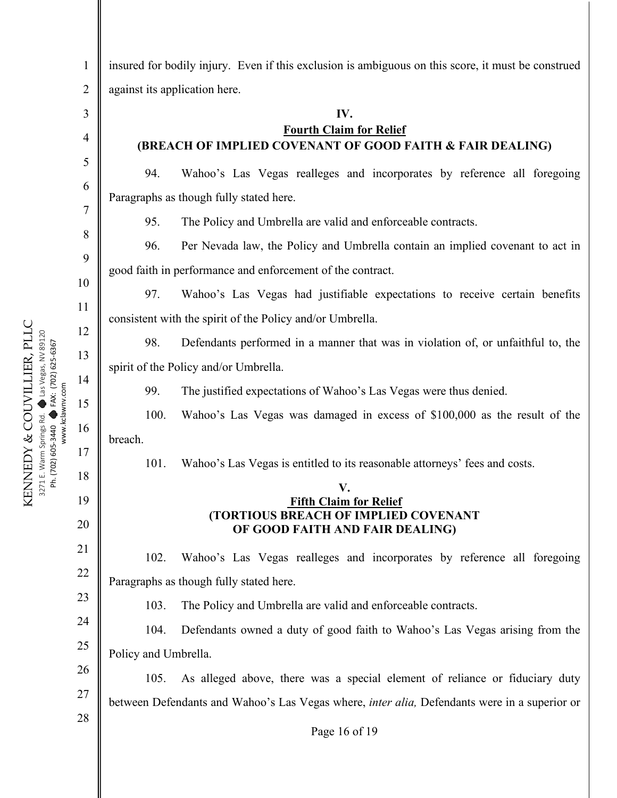2

3

4

insured for bodily injury. Even if this exclusion is ambiguous on this score, it must be construed against its application here.

#### **IV.**

## **Fourth Claim for Relief (BREACH OF IMPLIED COVENANT OF GOOD FAITH & FAIR DEALING)**

94. Wahoo's Las Vegas realleges and incorporates by reference all foregoing Paragraphs as though fully stated here.

95. The Policy and Umbrella are valid and enforceable contracts.

96. Per Nevada law, the Policy and Umbrella contain an implied covenant to act in good faith in performance and enforcement of the contract.

97. Wahoo's Las Vegas had justifiable expectations to receive certain benefits consistent with the spirit of the Policy and/or Umbrella.

98. Defendants performed in a manner that was in violation of, or unfaithful to, the spirit of the Policy and/or Umbrella.

99. The justified expectations of Wahoo's Las Vegas were thus denied.

100. Wahoo's Las Vegas was damaged in excess of \$100,000 as the result of the breach.

101. Wahoo's Las Vegas is entitled to its reasonable attorneys' fees and costs.

### **V. Fifth Claim for Relief (TORTIOUS BREACH OF IMPLIED COVENANT OF GOOD FAITH AND FAIR DEALING)**

102. Wahoo's Las Vegas realleges and incorporates by reference all foregoing Paragraphs as though fully stated here.

23 24

25

26

27

19

20

21

22

103. The Policy and Umbrella are valid and enforceable contracts.

104. Defendants owned a duty of good faith to Wahoo's Las Vegas arising from the Policy and Umbrella.

105. As alleged above, there was a special element of reliance or fiduciary duty between Defendants and Wahoo's Las Vegas where, *inter alia,* Defendants were in a superior or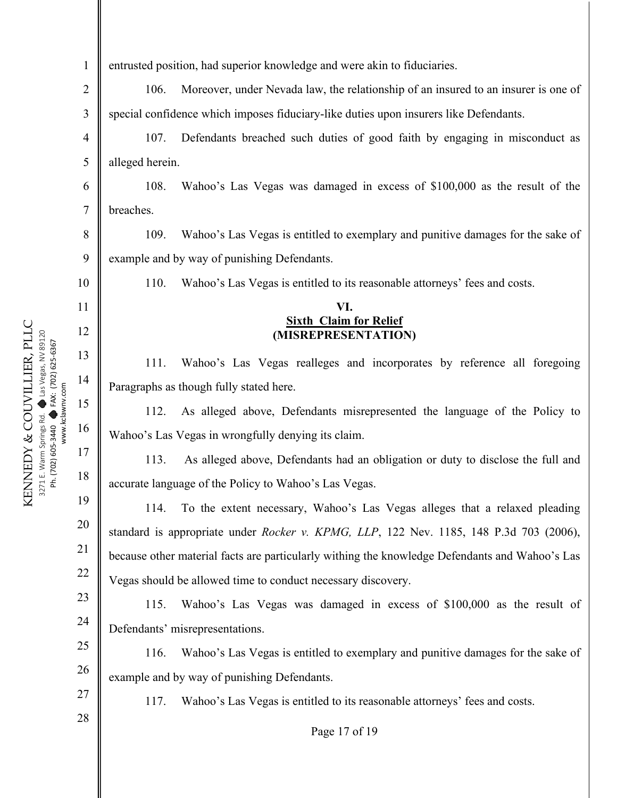| 1              | entrusted position, had superior knowledge and were akin to fiduciaries.                       |  |
|----------------|------------------------------------------------------------------------------------------------|--|
| $\overline{2}$ | Moreover, under Nevada law, the relationship of an insured to an insurer is one of<br>106.     |  |
| 3              | special confidence which imposes fiduciary-like duties upon insurers like Defendants.          |  |
| $\overline{4}$ | 107.<br>Defendants breached such duties of good faith by engaging in misconduct as             |  |
| 5              | alleged herein.                                                                                |  |
| 6              | 108.<br>Wahoo's Las Vegas was damaged in excess of \$100,000 as the result of the              |  |
| $\tau$         | breaches.                                                                                      |  |
| 8              | 109.<br>Wahoo's Las Vegas is entitled to exemplary and punitive damages for the sake of        |  |
| 9              | example and by way of punishing Defendants.                                                    |  |
| 10             | 110.<br>Wahoo's Las Vegas is entitled to its reasonable attorneys' fees and costs.             |  |
| 11             | VI.                                                                                            |  |
| 12             | <b>Sixth Claim for Relief</b><br>(MISREPRESENTATION)                                           |  |
| 13             | 111.<br>Wahoo's Las Vegas realleges and incorporates by reference all foregoing                |  |
| 14             | Paragraphs as though fully stated here.                                                        |  |
| 15             | As alleged above, Defendants misrepresented the language of the Policy to<br>112.              |  |
| 16             | Wahoo's Las Vegas in wrongfully denying its claim.                                             |  |
| 17             | As alleged above, Defendants had an obligation or duty to disclose the full and<br>113.        |  |
| 18             | accurate language of the Policy to Wahoo's Las Vegas.                                          |  |
| 19             | 114.<br>To the extent necessary, Wahoo's Las Vegas alleges that a relaxed pleading             |  |
| 20             | standard is appropriate under Rocker v. KPMG, LLP, 122 Nev. 1185, 148 P.3d 703 (2006),         |  |
| 21             | because other material facts are particularly withing the knowledge Defendants and Wahoo's Las |  |
| 22             | Vegas should be allowed time to conduct necessary discovery.                                   |  |
| 23             | 115.<br>Wahoo's Las Vegas was damaged in excess of \$100,000 as the result of                  |  |
| 24             | Defendants' misrepresentations.                                                                |  |
| 25             | 116.<br>Wahoo's Las Vegas is entitled to exemplary and punitive damages for the sake of        |  |
| 26             | example and by way of punishing Defendants.                                                    |  |
| 27             | 117.<br>Wahoo's Las Vegas is entitled to its reasonable attorneys' fees and costs.             |  |
| 28             | Page 17 of 19                                                                                  |  |
|                |                                                                                                |  |
|                |                                                                                                |  |

KENNEDY & COUVILLIER, PLLC 3271 E. Warm Springs Rd.  $\bullet$ Las Vegas, NV 89120 Ph. (702) 605-3440  $\bullet$ FAX: (702) 625-6367 www.kclawnv.com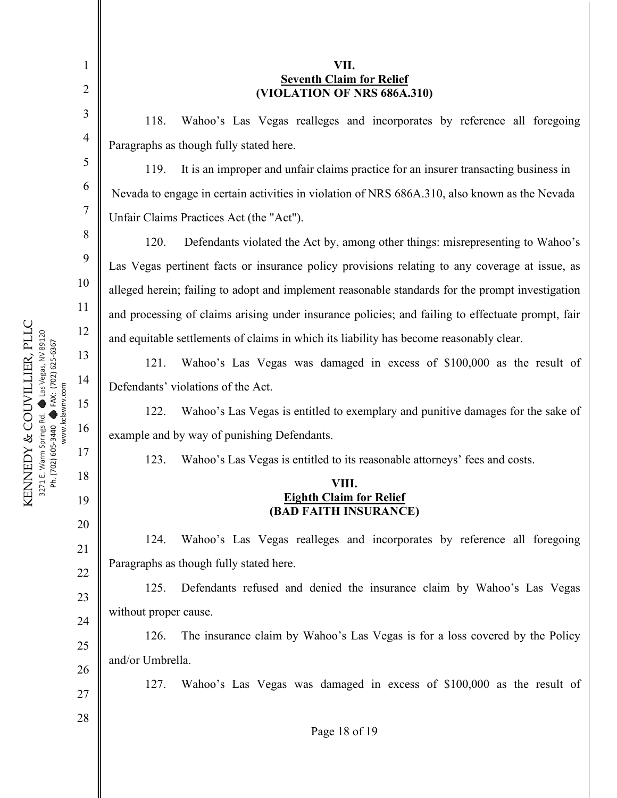| 1              | VII.                                                                                              |  |  |
|----------------|---------------------------------------------------------------------------------------------------|--|--|
| $\overline{2}$ | <b>Seventh Claim for Relief</b><br>(VIOLATION OF NRS 686A.310)                                    |  |  |
| 3              | 118.<br>Wahoo's Las Vegas realleges and incorporates by reference all foregoing                   |  |  |
| $\overline{4}$ | Paragraphs as though fully stated here.                                                           |  |  |
| 5              | It is an improper and unfair claims practice for an insurer transacting business in<br>119.       |  |  |
| 6              | Nevada to engage in certain activities in violation of NRS 686A.310, also known as the Nevada     |  |  |
| 7              | Unfair Claims Practices Act (the "Act").                                                          |  |  |
| 8              | 120.<br>Defendants violated the Act by, among other things: misrepresenting to Wahoo's            |  |  |
| 9              | Las Vegas pertinent facts or insurance policy provisions relating to any coverage at issue, as    |  |  |
| 10             | alleged herein; failing to adopt and implement reasonable standards for the prompt investigation  |  |  |
| 11             | and processing of claims arising under insurance policies; and failing to effectuate prompt, fair |  |  |
| 12             | and equitable settlements of claims in which its liability has become reasonably clear.           |  |  |
| 13             | Wahoo's Las Vegas was damaged in excess of \$100,000 as the result of<br>121.                     |  |  |
| 14             | Defendants' violations of the Act.                                                                |  |  |
| 15             | Wahoo's Las Vegas is entitled to exemplary and punitive damages for the sake of<br>122.           |  |  |
| 16             | example and by way of punishing Defendants.                                                       |  |  |
| 17             | Wahoo's Las Vegas is entitled to its reasonable attorneys' fees and costs.<br>123.                |  |  |
| 18             | VIII.                                                                                             |  |  |
| 19             | <b>Eighth Claim for Relief</b><br>(BAD FAITH INSURANCE)                                           |  |  |
| 20             | Wahoo's Las Vegas realleges and incorporates by reference all foregoing<br>124.                   |  |  |
| 21             | Paragraphs as though fully stated here.                                                           |  |  |
| 22             | Defendants refused and denied the insurance claim by Wahoo's Las Vegas<br>125.                    |  |  |
| 23             | without proper cause.                                                                             |  |  |
| 24             | The insurance claim by Wahoo's Las Vegas is for a loss covered by the Policy<br>126.              |  |  |
| 25             | and/or Umbrella.                                                                                  |  |  |
| 26             | Wahoo's Las Vegas was damaged in excess of \$100,000 as the result of<br>127.                     |  |  |
| 27             |                                                                                                   |  |  |
| 28             | Page 18 of 19                                                                                     |  |  |

KENNEDY & COUVILLIER, PLLC 3271 E. Warm Springs Rd.  $\bullet$ Las Vegas, NV 89120 Ph. (702) 605-3440  $\bullet$ FAX: (702) 625-6367 www.kclawnv.com